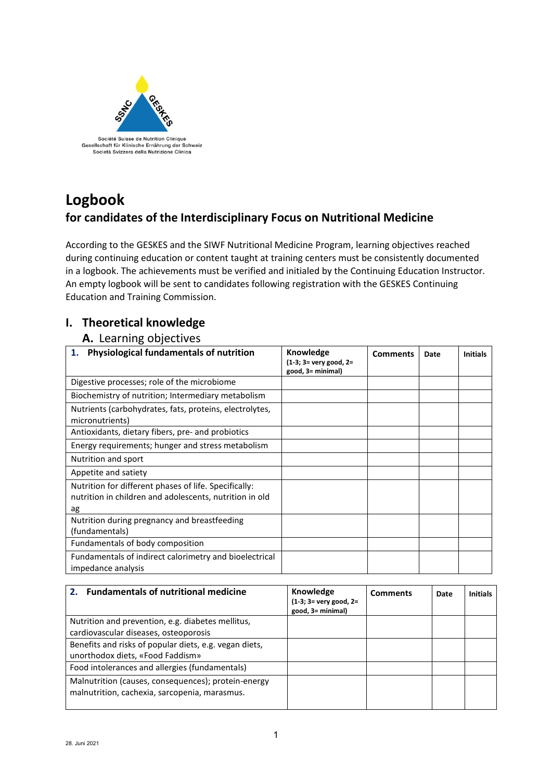

# **Logbook for candidates of the Interdisciplinary Focus on Nutritional Medicine**

According to the GESKES and the SIWF Nutritional Medicine Program, learning objectives reached during continuing education or content taught at training centers must be consistently documented in a logbook. The achievements must be verified and initialed by the Continuing Education Instructor. An empty logbook will be sent to candidates following registration with the GESKES Continuing Education and Training Commission.

## **I. Theoretical knowledge**

#### **A.** Learning objectives

| Physiological fundamentals of nutrition<br>1.                                                                          | Knowledge<br>$(1-3; 3=$ very good, $2=$<br>good, 3= minimal) | <b>Comments</b> | Date | <b>Initials</b> |
|------------------------------------------------------------------------------------------------------------------------|--------------------------------------------------------------|-----------------|------|-----------------|
| Digestive processes; role of the microbiome                                                                            |                                                              |                 |      |                 |
| Biochemistry of nutrition; Intermediary metabolism                                                                     |                                                              |                 |      |                 |
| Nutrients (carbohydrates, fats, proteins, electrolytes,<br>micronutrients)                                             |                                                              |                 |      |                 |
| Antioxidants, dietary fibers, pre- and probiotics                                                                      |                                                              |                 |      |                 |
| Energy requirements; hunger and stress metabolism                                                                      |                                                              |                 |      |                 |
| Nutrition and sport                                                                                                    |                                                              |                 |      |                 |
| Appetite and satiety                                                                                                   |                                                              |                 |      |                 |
| Nutrition for different phases of life. Specifically:<br>nutrition in children and adolescents, nutrition in old<br>ag |                                                              |                 |      |                 |
| Nutrition during pregnancy and breastfeeding<br>(fundamentals)                                                         |                                                              |                 |      |                 |
| Fundamentals of body composition                                                                                       |                                                              |                 |      |                 |
| Fundamentals of indirect calorimetry and bioelectrical<br>impedance analysis                                           |                                                              |                 |      |                 |

| <b>Fundamentals of nutritional medicine</b><br>2 <sup>1</sup>                                        | Knowledge<br>$(1-3; 3=$ very good, $2=$<br>good, 3= minimal) | <b>Comments</b> | Date | <b>Initials</b> |
|------------------------------------------------------------------------------------------------------|--------------------------------------------------------------|-----------------|------|-----------------|
| Nutrition and prevention, e.g. diabetes mellitus,                                                    |                                                              |                 |      |                 |
| cardiovascular diseases, osteoporosis                                                                |                                                              |                 |      |                 |
| Benefits and risks of popular diets, e.g. vegan diets,                                               |                                                              |                 |      |                 |
| unorthodox diets, «Food Faddism»                                                                     |                                                              |                 |      |                 |
| Food intolerances and allergies (fundamentals)                                                       |                                                              |                 |      |                 |
| Malnutrition (causes, consequences); protein-energy<br>malnutrition, cachexia, sarcopenia, marasmus. |                                                              |                 |      |                 |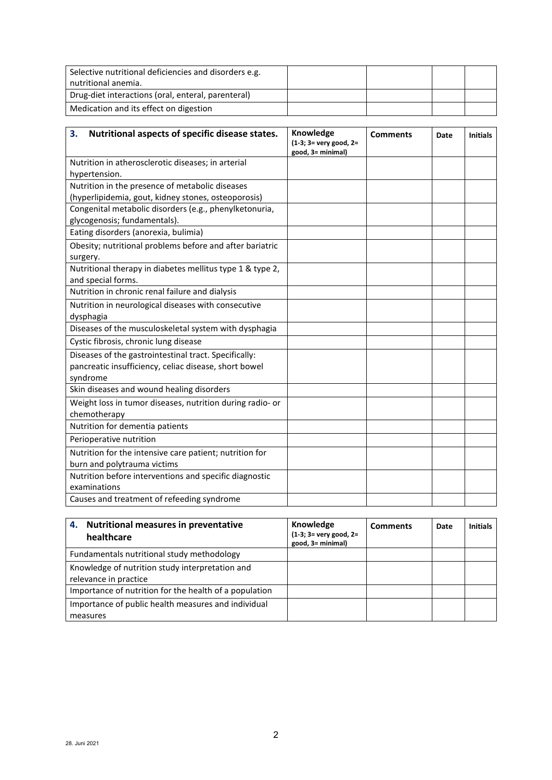| Selective nutritional deficiencies and disorders e.g.<br>nutritional anemia. |  |  |
|------------------------------------------------------------------------------|--|--|
| Drug-diet interactions (oral, enteral, parenteral)                           |  |  |
| Medication and its effect on digestion                                       |  |  |

| 3.<br>Nutritional aspects of specific disease states.     | Knowledge<br>$(1-3; 3=$ very good, $2=$<br>good, 3= minimal) | <b>Comments</b> | Date | <b>Initials</b> |
|-----------------------------------------------------------|--------------------------------------------------------------|-----------------|------|-----------------|
| Nutrition in atherosclerotic diseases; in arterial        |                                                              |                 |      |                 |
| hypertension.                                             |                                                              |                 |      |                 |
| Nutrition in the presence of metabolic diseases           |                                                              |                 |      |                 |
| (hyperlipidemia, gout, kidney stones, osteoporosis)       |                                                              |                 |      |                 |
| Congenital metabolic disorders (e.g., phenylketonuria,    |                                                              |                 |      |                 |
| glycogenosis; fundamentals).                              |                                                              |                 |      |                 |
| Eating disorders (anorexia, bulimia)                      |                                                              |                 |      |                 |
| Obesity; nutritional problems before and after bariatric  |                                                              |                 |      |                 |
| surgery.                                                  |                                                              |                 |      |                 |
| Nutritional therapy in diabetes mellitus type 1 & type 2, |                                                              |                 |      |                 |
| and special forms.                                        |                                                              |                 |      |                 |
| Nutrition in chronic renal failure and dialysis           |                                                              |                 |      |                 |
| Nutrition in neurological diseases with consecutive       |                                                              |                 |      |                 |
| dysphagia                                                 |                                                              |                 |      |                 |
| Diseases of the musculoskeletal system with dysphagia     |                                                              |                 |      |                 |
| Cystic fibrosis, chronic lung disease                     |                                                              |                 |      |                 |
| Diseases of the gastrointestinal tract. Specifically:     |                                                              |                 |      |                 |
| pancreatic insufficiency, celiac disease, short bowel     |                                                              |                 |      |                 |
| syndrome                                                  |                                                              |                 |      |                 |
| Skin diseases and wound healing disorders                 |                                                              |                 |      |                 |
| Weight loss in tumor diseases, nutrition during radio- or |                                                              |                 |      |                 |
| chemotherapy                                              |                                                              |                 |      |                 |
| Nutrition for dementia patients                           |                                                              |                 |      |                 |
| Perioperative nutrition                                   |                                                              |                 |      |                 |
| Nutrition for the intensive care patient; nutrition for   |                                                              |                 |      |                 |
| burn and polytrauma victims                               |                                                              |                 |      |                 |
| Nutrition before interventions and specific diagnostic    |                                                              |                 |      |                 |
| examinations                                              |                                                              |                 |      |                 |
| Causes and treatment of refeeding syndrome                |                                                              |                 |      |                 |

| 4. Nutritional measures in preventative<br>healthcare  | Knowledge<br>$(1-3; 3=$ very good, $2=$<br>good, 3= minimal) | <b>Comments</b> | Date | <b>Initials</b> |
|--------------------------------------------------------|--------------------------------------------------------------|-----------------|------|-----------------|
| Fundamentals nutritional study methodology             |                                                              |                 |      |                 |
| Knowledge of nutrition study interpretation and        |                                                              |                 |      |                 |
| relevance in practice                                  |                                                              |                 |      |                 |
| Importance of nutrition for the health of a population |                                                              |                 |      |                 |
| Importance of public health measures and individual    |                                                              |                 |      |                 |
| measures                                               |                                                              |                 |      |                 |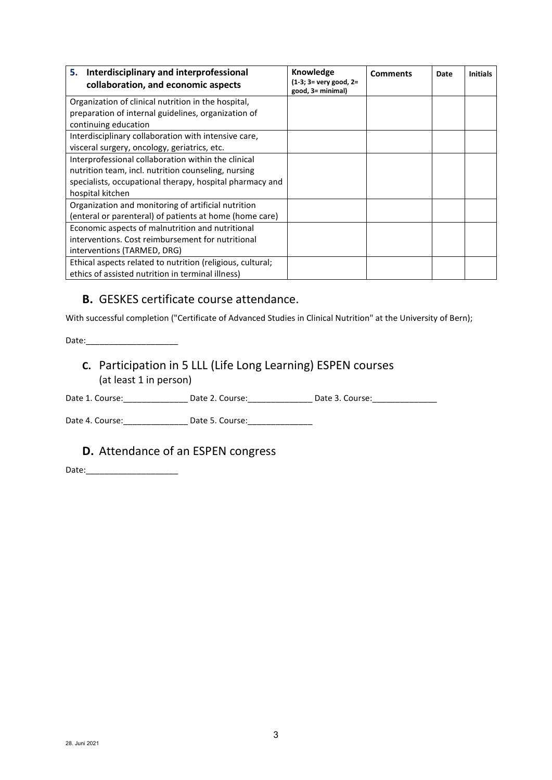| 5. Interdisciplinary and interprofessional<br>collaboration, and economic aspects | Knowledge<br>(1-3; 3= very good, 2=<br>good, 3= minimal) | <b>Comments</b> | Date | <b>Initials</b> |
|-----------------------------------------------------------------------------------|----------------------------------------------------------|-----------------|------|-----------------|
| Organization of clinical nutrition in the hospital,                               |                                                          |                 |      |                 |
| preparation of internal guidelines, organization of                               |                                                          |                 |      |                 |
| continuing education                                                              |                                                          |                 |      |                 |
| Interdisciplinary collaboration with intensive care,                              |                                                          |                 |      |                 |
| visceral surgery, oncology, geriatrics, etc.                                      |                                                          |                 |      |                 |
| Interprofessional collaboration within the clinical                               |                                                          |                 |      |                 |
| nutrition team, incl. nutrition counseling, nursing                               |                                                          |                 |      |                 |
| specialists, occupational therapy, hospital pharmacy and                          |                                                          |                 |      |                 |
| hospital kitchen                                                                  |                                                          |                 |      |                 |
| Organization and monitoring of artificial nutrition                               |                                                          |                 |      |                 |
| (enteral or parenteral) of patients at home (home care)                           |                                                          |                 |      |                 |
| Economic aspects of malnutrition and nutritional                                  |                                                          |                 |      |                 |
| interventions. Cost reimbursement for nutritional                                 |                                                          |                 |      |                 |
| interventions (TARMED, DRG)                                                       |                                                          |                 |      |                 |
| Ethical aspects related to nutrition (religious, cultural;                        |                                                          |                 |      |                 |
| ethics of assisted nutrition in terminal illness)                                 |                                                          |                 |      |                 |

#### **B.** GESKES certificate course attendance.

With successful completion ("Certificate of Advanced Studies in Clinical Nutrition" at the University of Bern);

Date:

#### **C.** Participation in 5 LLL (Life Long Learning) ESPEN courses (at least 1 in person)

Date 1. Course: \_\_\_\_\_\_\_\_\_\_\_\_\_\_\_\_\_\_ Date 2. Course: \_\_\_\_\_\_\_\_\_\_\_\_\_\_\_\_ Date 3. Course: \_\_\_\_\_\_\_\_\_\_\_\_\_\_\_

Date 4. Course: \_\_\_\_\_\_\_\_\_\_\_\_\_\_\_\_\_\_ Date 5. Course: \_\_\_\_\_\_\_\_\_\_\_\_\_\_\_\_\_\_\_\_\_\_\_\_\_\_\_\_\_

#### **D.** Attendance of an ESPEN congress

Date:\_\_\_\_\_\_\_\_\_\_\_\_\_\_\_\_\_\_\_\_